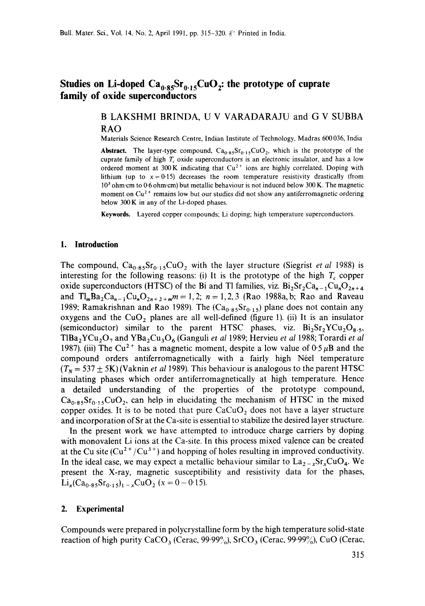# Studies on Li-doped  $Ca_{0.85}Sr_{0.15}CuO_2$ : the prototype of cuprate **family of oxide superconductors**

# B LAKSHMI BRINDA, U V VARADARAJU and G V SUBBA RAO

Materials Science Research Centre, Indian Institute of Technology, Madras 600036, India

**Abstract.** The layer-type compound,  $Ca<sub>0.85</sub>Sr<sub>0.15</sub>CuO<sub>2</sub>$ , which is the prototype of the cuprate family of high  $T_c$  oxide superconductors is an electronic insulator, and has a low ordered moment at 300 K indicating that  $Cu^{2+}$  ions are highly correlated. Doping with lithium (up to  $x=0.15$ ) decreases the room temperature resistivity drastically (from  $10<sup>3</sup>$  ohm cm to 0.6 ohm cm) but metallic behaviour is not induced below 300 K. The magnetic moment on  $Cu^{2+}$  remains low but our studies did not show any antiferromagnetic ordering below 300 K in any of the Li-doped phases.

**Keywords.** Layered copper compounds: Li doping: high temperature superconductors.

#### **1. Introduction**

The compound,  $Ca_{0.85}Sr_{0.15}CuO_2$  with the layer structure (Siegrist *et al* 1988) is interesting for the following reasons: (i) It is the prototype of the high  $T_c$  copper oxide superconductors (HTSC) of the Bi and Tl families, viz.  $Bi_2Sr_2Ca_{n-1}Cu_nO_{2n+4}$ and  $Tl_mBa_2Ca_{n-1}Cu_nO_{2n+2+m}m = 1,2; n = 1,2,3$  (Rao 1988a, b; Rao and Raveau 1989: Ramakrishnan and Rao 1989). The  $(Ca<sub>0.85</sub>Sr<sub>0.15</sub>)$  plane does not contain any oxygens and the  $CuO<sub>2</sub>$  planes are all well-defined (figure 1). (ii) It is an insulator (semiconductor) similar to the parent HTSC phases, viz.  $Bi_2Sr_2YCu_2O_8.5$ , TlBa<sub>2</sub>YCu<sub>2</sub>O<sub>7</sub> and YBa<sub>2</sub>Cu<sub>3</sub>O<sub>6</sub> (Ganguli *et al* 1989; Hervieu *et al* 1988; Torardi *et al* 1987). (iii) The Cu<sup>2+</sup> has a magnetic moment, despite a low value of  $0.5 \mu B$  and the compound orders antiferromagnetically with a fairly high N6el temperature  $(T_N = 537 \pm 5K)$  (Vaknin *et al* 1989). This behaviour is analogous to the parent HTSC insulating phases which order antiferromagnetically at high temperature. Hence a detailed understanding of the properties of the prototype compound,  $Ca_{0.85}Sr_{0.15}CuO_2$ , can help in elucidating the mechanism of HTSC in the mixed copper oxides. It is to be noted that pure  $CaCuO<sub>2</sub>$  does not have a layer structure and incorporation of Sr at the Ca-site is essential to stabilize the desired layer structure.

In the present work we have attempted to introduce charge carriers by doping with monovalent Li ions at the Ca-site. In this process mixed valence can be created at the Cu site  $(Cu^{2+}/Cu^{3+})$  and hopping of holes resulting in improved conductivity. In the ideal case, we may expect a metallic behaviour similar to  $\text{La}_{2-x}\text{Sr}_{x}\text{CuO}_{4}$ . We present the X-ray, magnetic susceptibility and resistivity data for the phases,  $\text{Li}_{x}(\text{Ca}_{0.85}\text{Sr}_{0.15})_{1-x}\text{CuO}_{2}$  (x = 0 - 0.15).

## **2. Experimental**

Compounds were prepared in polycrystalline form by the high temperature solid-state reaction of high purity CaCO<sub>3</sub> (Cerac, 99.99%), SrCO<sub>3</sub> (Cerac, 99.99%), CuO (Cerac,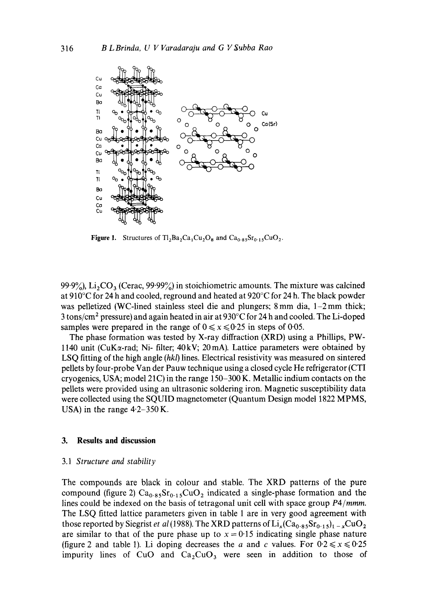

Figure 1. Structures of  $T_2Ba_2Ca_1Cu_2O_8$  and  $Ca_{0.85}Sr_{0.15}CuO_2$ .

99.9%),  $Li<sub>2</sub>CO<sub>3</sub>$  (Cerac, 99.99%) in stoichiometric amounts. The mixture was calcined at 910°C for 24 h and cooled, reground and heated at 920°C for 24 h. The black powder was pelletized (WC-lined stainless steel die and plungers; 8 mm dia, 1–2 mm thick; 3 tons/cm 2 pressure) and again heated in air at 930°C for 24 h and cooled. The Li-doped samples were prepared in the range of  $0 \le x \le 0.25$  in steps of 0.05.

The phase formation was tested by X-ray diffraction (XRD) using a Phillips, PW-1140 unit ( $CuK\alpha$ -rad; Ni- filter;  $40 \text{ kV}$ ;  $20 \text{ mA}$ ). Lattice parameters were obtained by LSQ fitting of the high angle *(hkl)* lines. Electrical resistivity was measured on sintered pellets by four-probe Van der Pauw technique using a closed cycle He refrigerator (CTI cryogenics, USA; model 21C) in the range 150-300 K. Metallic indium contacts on the pellets were provided using an ultrasonic soldering iron. Magnetic susceptibility data were collected using the SQUID magnetometer (Quantum Design model 1822 MPMS, USA) in the range  $4.2 - 350$  K.

### **3. Results and discussion**

#### 3.1 *Structure and stability*

The compounds are black in colour and stable. The XRD patterns of the pure compound (figure 2)  $Ca_{0.85}Sr_{0.15}CuO_2$  indicated a single-phase formation and the lines could be indexed on the basis of tetragonal unit cell with space group *P4/mmm.*  The LSQ fitted lattice parameters given in table 1 are in very good agreement with those reported by Siegrist *et al* (1988). The XRD patterns of  $Li_x(Ca_{0.85}Sr_{0.15})_{t-x}CuO_2$ are similar to that of the pure phase up to  $x = 0.15$  indicating single phase nature (figure 2 and table 1). Li doping decreases the a and c values. For  $0.2 \le x \le 0.25$ impurity lines of CuO and  $Ca<sub>2</sub>CuO<sub>3</sub>$  were seen in addition to those of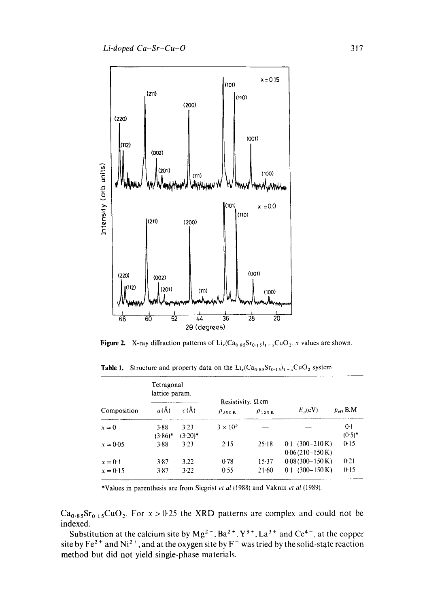

**Figure 2.** X-ray diffraction patterns of  $Li_x(Ca_{0.85}Sr_{0.15})_1 = {}_xCuO_2$ . x values are shown.

**Table 1.** Structure and property data on the  $Li_x(Ca_0.85Sr_0.15)$ <sub>1</sub> -  $_xCuO_2$  system

| Composition           | Tetragonal<br>lattice param. |                    | Resistivity, $\Omega$ cm |                  |                                                       |                  |
|-----------------------|------------------------------|--------------------|--------------------------|------------------|-------------------------------------------------------|------------------|
|                       | $a(\AA)$                     | c(A)               | $\rho$ 300 K             | $\rho_{150K}$    | $E_n$ (eV)                                            | $p_{eff}$ B.M    |
| $x = 0$               | 3.88<br>$(3.86)$ *           | 3.23<br>$(3.20)$ * | $3 \times 10^3$          |                  |                                                       | 0:1<br>$(0.5)^*$ |
| $x = 0.05$            | 3.88                         | 3.23               | $2-15$                   | 25.18            | $0.1(300-210 \text{ K})$<br>$0.06(210-150 \text{ K})$ | 0.15             |
| $x=0.1$<br>$x = 0.15$ | 3.87<br>3.87                 | 3.22<br>3.22       | 0.78<br>0.55             | 15.37<br>$21-60$ | $0.08(300-150 \text{ K})$<br>$0.1$ (300-150 K)        | 0.21<br>0.15     |

\*Values in parenthesis are from Siegrist *et al* (1988) and Vaknin *et al* (1989).

 $Ca<sub>0.85</sub>Sr<sub>0.15</sub>CuO<sub>2</sub>$ . For  $x > 0.25$  the XRD patterns are complex and could not be indexed.

Substitution at the calcium site by  $Mg^{2+}$ ,  $Ba^{2+}$ ,  $Y^{3+}$ ,  $La^{3+}$  and  $Ce^{4+}$ , at the copper site by Fe<sup>2+</sup> and Ni<sup>2+</sup>, and at the oxygen site by F<sup>-</sup> was tried by the solid-state reaction method but did not yield single-phase materials.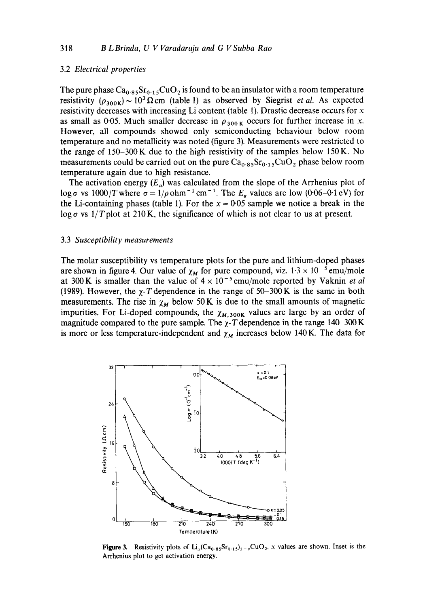### 3.2 *Electrical properties*

The pure phase  $Ca_{0.85}Sr_{0.15}CuO_2$  is found to be an insulator with a room temperature resistivity  $(\rho_{300K}) \sim 10^3 \Omega$  cm (table 1) as observed by Siegrist *et al.* As expected resistivity decreases with increasing Li content (table 1). Drastic decrease occurs for x as small as 0.05. Much smaller decrease in  $\rho_{300 \text{ K}}$  occurs for further increase in x. However, all compounds showed only semiconducting behaviour below room temperature and no metallicity was noted (figure 3). Measurements were restricted to the range of 150-300 K due to the high resistivity of the samples below 150K. No measurements could be carried out on the pure  $Ca<sub>0.85</sub>Sr<sub>0.15</sub>CuO<sub>2</sub>$  phase below room temperature again due to high resistance.

The activation energy  $(E_a)$  was calculated from the slope of the Arrhenius plot of  $\log \sigma$  vs  $1000/T$  where  $\sigma = 1/\rho$  ohm<sup>-1</sup> cm<sup>-1</sup>. The  $E_a$  values are low (0.06-0.1 eV) for the Li-containing phases (table 1). For the  $x = 0.05$  sample we notice a break in the  $\log \sigma$  vs  $1/T$  plot at 210 K, the significance of which is not clear to us at present.

#### 3.3 *Susceptibility measurements*

The molar susceptibility vs temperature plots for the pure and lithium-doped phases are shown in figure 4. Our value of  $\chi_M$  for pure compound, viz.  $1.3 \times 10^{-5}$  emu/mole at 300 K is smaller than the value of  $4 \times 10^{-5}$  emu/mole reported by Vaknin *et al* (1989). However, the  $\chi$ -T dependence in the range of 50-300 K is the same in both measurements. The rise in  $\chi_M$  below 50 K is due to the small amounts of magnetic impurities. For Li-doped compounds, the  $\chi_{M,300K}$  values are large by an order of magnitude compared to the pure sample. The  $\chi$ -T dependence in the range 140-300 K is more or less temperature-independent and  $\chi_M$  increases below 140 K. The data for



**Figure 3.** Resistivity plots of  $Li_x(Ca_0.85Sr_{0.15})$ <sub>1-x</sub>CuO<sub>2</sub>. x values are shown. Inset is the Arrhenius plot to get activation energy.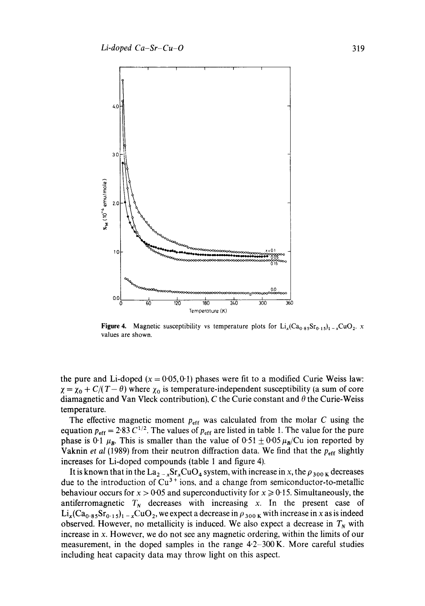

**Figure 4.** Magnetic susceptibility vs temperature plots for  $Li_x(Ca_0.85Sr_0.15)_1 - xCuO_2$ . *x* values are shown.

the pure and Li-doped  $(x = 0.05, 0.1)$  phases were fit to a modified Curie Weiss law:  $\chi = \chi_0 + C/(T - \theta)$  where  $\chi_0$  is temperature-independent susceptibility (a sum of core diamagnetic and Van Vleck contribution), C the Curie constant and  $\theta$  the Curie-Weiss temperature.

The effective magnetic moment  $p_{\text{eff}}$  was calculated from the molar C using the equation  $p_{\text{eff}} = 2.83 \text{ C}^{1/2}$ . The values of  $p_{\text{eff}}$  are listed in table 1. The value for the pure phase is 0.1  $\mu_B$ . This is smaller than the value of 0.51  $\pm$  0.05  $\mu_B$ /Cu ion reported by Vaknin *et al* (1989) from their neutron diffraction data. We find that the  $p_{\text{eff}}$  slightly increases for Li-doped compounds (table 1 and figure 4).

It is known that in the  $La_{2-x}Sr_xCuO_4$  system, with increase in x, the  $\rho_{300\text{ K}}$  decreases due to the introduction of  $Cu<sup>3+</sup>$  ions, and a change from semiconductor-to-metallic behaviour occurs for  $x > 0.05$  and superconductivity for  $x \ge 0.15$ . Simultaneously, the antiferromagnetic  $T_N$  decreases with increasing x. In the present case of  $Li_x(Ca_{0.85}Sr_{0.15})_{1-x}CuO_2$ , we expect a decrease in  $\rho_{300\text{ K}}$  with increase in x as is indeed observed. However, no metallicity is induced. We also expect a decrease in  $T<sub>N</sub>$  with increase in x. However, we do not see any magnetic ordering, within the limits of our measurement, in the doped samples in the range  $4.2-300$  K. More careful studies including heat capacity data may throw light on this aspect.